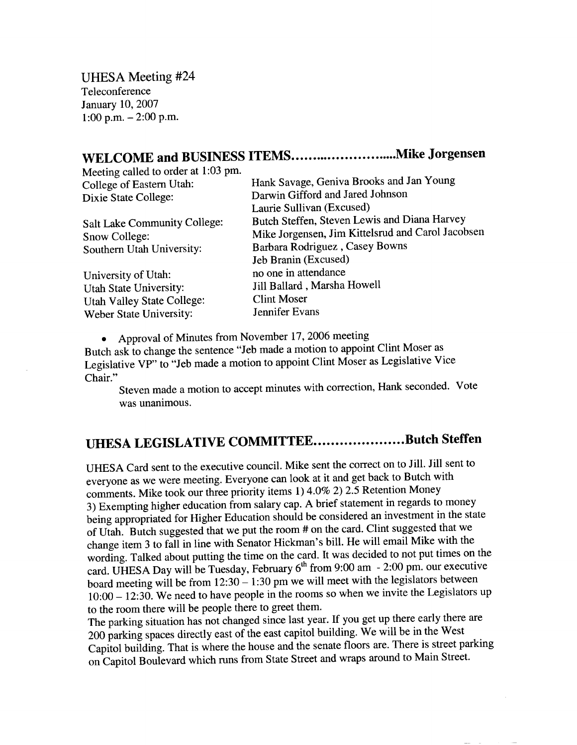UHESA Meeting #24 Teleconference January 10, 2007 1:00 p.m.  $-2:00$  p.m.

## **WELCOME and BUSINESS ITEMS Mike Jorgensen**

| WELCORE and DODG (200               |                                                   |
|-------------------------------------|---------------------------------------------------|
| Meeting called to order at 1:03 pm. |                                                   |
| College of Eastern Utah:            | Hank Savage, Geniva Brooks and Jan Young          |
| Dixie State College:                | Darwin Gifford and Jared Johnson                  |
|                                     | Laurie Sullivan (Excused)                         |
| Salt Lake Community College:        | Butch Steffen, Steven Lewis and Diana Harvey      |
| Snow College:                       | Mike Jorgensen, Jim Kittelsrud and Carol Jacobsen |
| Southern Utah University:           | Barbara Rodriguez, Casey Bowns                    |
|                                     | Jeb Branin (Excused)                              |
| University of Utah:                 | no one in attendance                              |
| Utah State University:              | Jill Ballard, Marsha Howell                       |
| <b>Utah Valley State College:</b>   | <b>Clint Moser</b>                                |
| Weber State University:             | Jennifer Evans                                    |
|                                     |                                                   |

• Approval of Minutes from November 17, 2006 meeting

Butch ask to change the sentence "Jeb made a motion to appoint Clint Moser as  $\frac{L}{L}$  as the change are senerice vecessities in the vector  $\frac{L}{L}$ cgisiati<br>Shair."

Steven made a motion to accept minutes with correction, Hank seconded. Vote was unanimous.

## **UHESA LEGISLATIVE COMMITTEE....................Butch Steffen**

UHESA Card sent to the executive council. Mike sent the correct on to Jill. Jill sent to everyone as we were meeting. Everyone can look at it and get back to Butch with comments. Mike took our three priority items 1) 4.0% 2) 2.5 Retention Money 3) Exempting higher education from salary cap. A brief statement in regards to money being appropriated for Higher Education should be considered an investment in the state of Utah. Butch suggested that we put the room # on the card. Clint suggested that we change item 3 to fall in line with Senator Hickman's bill. He will email Mike with the wording. Talked about putting the time on the card. It was decided to not put times on the card. UHESA Day will be Tuesday, February 6<sup>th</sup> from 9:00 am - 2:00 pm. our executive board meeting will be from  $12:30 - 1:30$  pm we will meet with the legislators between 10:00 - 12:30. We need to have people in the rooms so when we invite the Legislators up to the room there will be people there to greet them.

The parking situation has not changed since last year. If you get up there early there are 200 parking spaces directly east of the east capitol building. We will be in the West Capitol building. That is where the house and the senate floors are. There is street parking on Capitol Boulevard which runs from State Street and wraps around to Main Street.